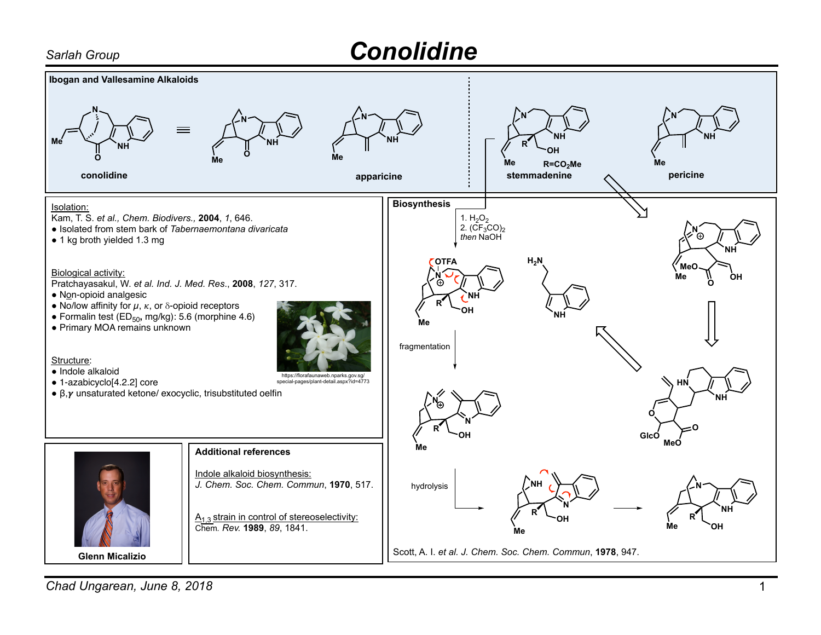## *Sarlah Group Conolidine*



**Chad Ungarean, June 8, 2018** 1